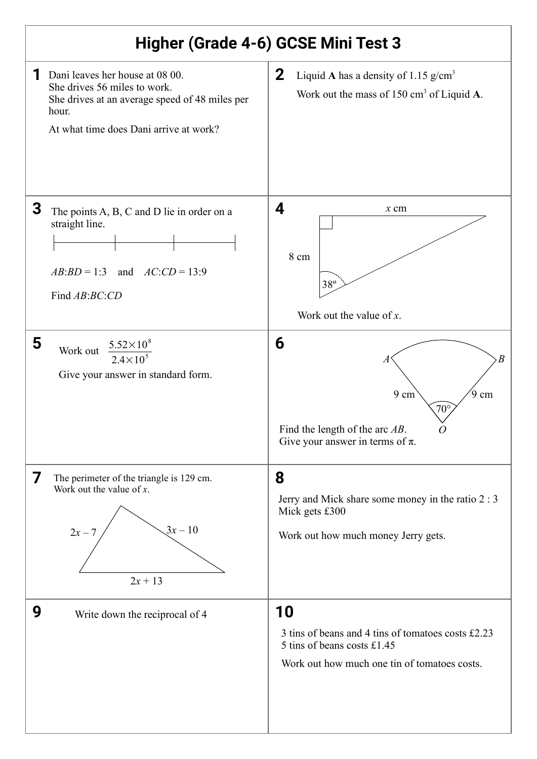